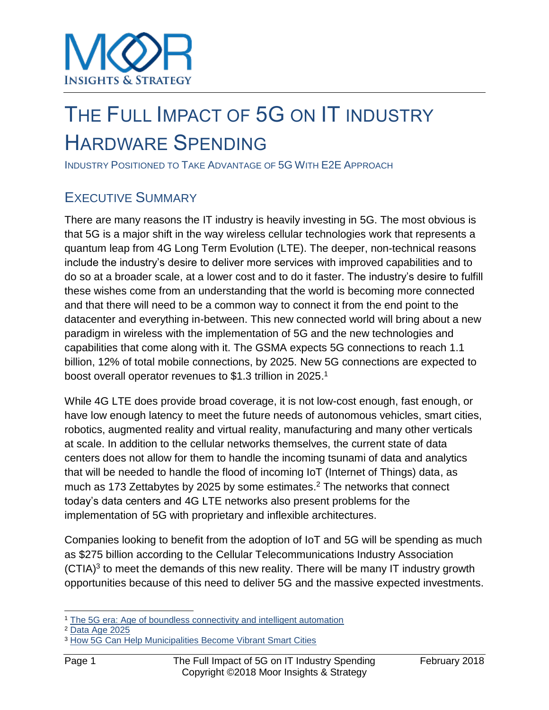## THE FULL IMPACT OF 5G ON IT INDUSTRY HARDWARE SPENDING

INDUSTRY POSITIONED TO TAKE ADVANTAGE OF 5G WITH E2E APPROACH

## EXECUTIVE SUMMARY

There are many reasons the IT industry is heavily investing in 5G. The most obvious is that 5G is a major shift in the way wireless cellular technologies work that represents a quantum leap from 4G Long Term Evolution (LTE). The deeper, non-technical reasons include the industry's desire to deliver more services with improved capabilities and to do so at a broader scale, at a lower cost and to do it faster. The industry's desire to fulfill these wishes come from an understanding that the world is becoming more connected and that there will need to be a common way to connect it from the end point to the datacenter and everything in-between. This new connected world will bring about a new paradigm in wireless with the implementation of 5G and the new technologies and capabilities that come along with it. The GSMA expects 5G connections to reach 1.1 billion, 12% of total mobile connections, by 2025. New 5G connections are expected to boost overall operator revenues to \$1.3 trillion in 2025.<sup>1</sup>

While 4G LTE does provide broad coverage, it is not low-cost enough, fast enough, or have low enough latency to meet the future needs of autonomous vehicles, smart cities, robotics, augmented reality and virtual reality, manufacturing and many other verticals at scale. In addition to the cellular networks themselves, the current state of data centers does not allow for them to handle the incoming tsunami of data and analytics that will be needed to handle the flood of incoming IoT (Internet of Things) data, as much as 173 Zettabytes by 2025 by some estimates.<sup>2</sup> The networks that connect today's data centers and 4G LTE networks also present problems for the implementation of 5G with proprietary and inflexible architectures.

Companies looking to benefit from the adoption of IoT and 5G will be spending as much as \$275 billion according to the Cellular Telecommunications Industry Association  $(CTIA)<sup>3</sup>$  to meet the demands of this new reality. There will be many IT industry growth opportunities because of this need to deliver 5G and the massive expected investments.

<sup>1</sup> [The 5G era: Age of boundless connectivity and intelligent automation](https://www.gsmaintelligence.com/research/?file=0efdd9e7b6eb1c4ad9aa5d4c0c971e62&download)

<sup>2</sup> [Data Age 2025](http://www.seagate.com/our-story/data-age-2025/)

<sup>&</sup>lt;sup>3</sup> [How 5G Can Help Municipalities Become](https://www.ctia.org/docs/default-source/default-document-library/how-5g-can-help-municipalities-become-vibrant-smart-cities-accenture.pdf) Vibrant Smart Cities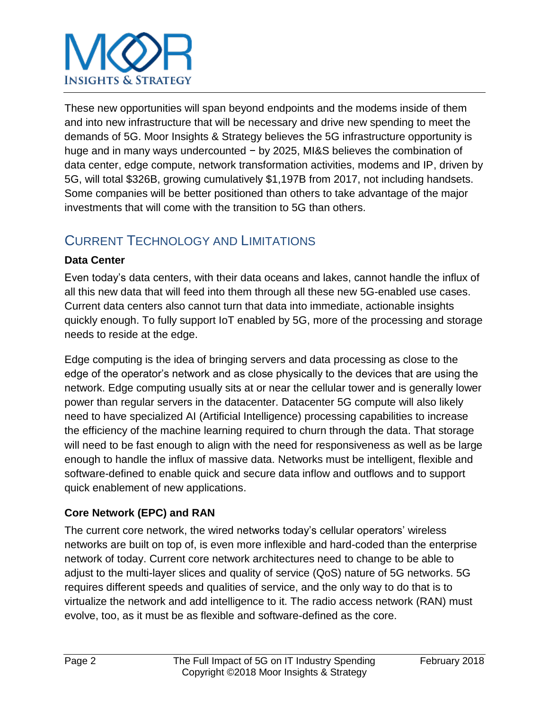# **INSIGHTS & STRATEGY**

These new opportunities will span beyond endpoints and the modems inside of them and into new infrastructure that will be necessary and drive new spending to meet the demands of 5G. Moor Insights & Strategy believes the 5G infrastructure opportunity is huge and in many ways undercounted − by 2025, MI&S believes the combination of data center, edge compute, network transformation activities, modems and IP, driven by 5G, will total \$326B, growing cumulatively \$1,197B from 2017, not including handsets. Some companies will be better positioned than others to take advantage of the major investments that will come with the transition to 5G than others.

## CURRENT TECHNOLOGY AND LIMITATIONS

## **Data Center**

Even today's data centers, with their data oceans and lakes, cannot handle the influx of all this new data that will feed into them through all these new 5G-enabled use cases. Current data centers also cannot turn that data into immediate, actionable insights quickly enough. To fully support IoT enabled by 5G, more of the processing and storage needs to reside at the edge.

Edge computing is the idea of bringing servers and data processing as close to the edge of the operator's network and as close physically to the devices that are using the network. Edge computing usually sits at or near the cellular tower and is generally lower power than regular servers in the datacenter. Datacenter 5G compute will also likely need to have specialized AI (Artificial Intelligence) processing capabilities to increase the efficiency of the machine learning required to churn through the data. That storage will need to be fast enough to align with the need for responsiveness as well as be large enough to handle the influx of massive data. Networks must be intelligent, flexible and software-defined to enable quick and secure data inflow and outflows and to support quick enablement of new applications.

## **Core Network (EPC) and RAN**

The current core network, the wired networks today's cellular operators' wireless networks are built on top of, is even more inflexible and hard-coded than the enterprise network of today. Current core network architectures need to change to be able to adjust to the multi-layer slices and quality of service (QoS) nature of 5G networks. 5G requires different speeds and qualities of service, and the only way to do that is to virtualize the network and add intelligence to it. The radio access network (RAN) must evolve, too, as it must be as flexible and software-defined as the core.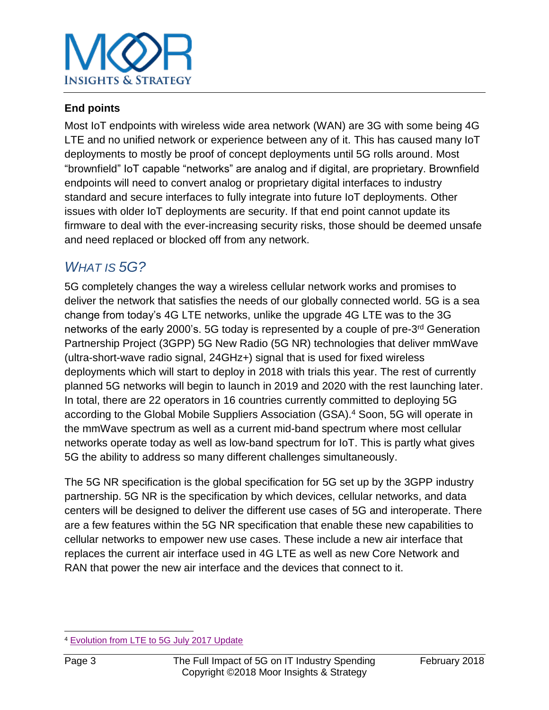

### **End points**

Most IoT endpoints with wireless wide area network (WAN) are 3G with some being 4G LTE and no unified network or experience between any of it. This has caused many IoT deployments to mostly be proof of concept deployments until 5G rolls around. Most "brownfield" IoT capable "networks" are analog and if digital, are proprietary. Brownfield endpoints will need to convert analog or proprietary digital interfaces to industry standard and secure interfaces to fully integrate into future IoT deployments. Other issues with older IoT deployments are security. If that end point cannot update its firmware to deal with the ever-increasing security risks, those should be deemed unsafe and need replaced or blocked off from any network.

## *WHAT IS 5G?*

5G completely changes the way a wireless cellular network works and promises to deliver the network that satisfies the needs of our globally connected world. 5G is a sea change from today's 4G LTE networks, unlike the upgrade 4G LTE was to the 3G networks of the early 2000's. 5G today is represented by a couple of pre-3<sup>rd</sup> Generation Partnership Project (3GPP) 5G New Radio (5G NR) technologies that deliver mmWave (ultra-short-wave radio signal, 24GHz+) signal that is used for fixed wireless deployments which will start to deploy in 2018 with trials this year. The rest of currently planned 5G networks will begin to launch in 2019 and 2020 with the rest launching later. In total, there are 22 operators in 16 countries currently committed to deploying 5G according to the Global Mobile Suppliers Association (GSA). <sup>4</sup> Soon, 5G will operate in the mmWave spectrum as well as a current mid-band spectrum where most cellular networks operate today as well as low-band spectrum for IoT. This is partly what gives 5G the ability to address so many different challenges simultaneously.

The 5G NR specification is the global specification for 5G set up by the 3GPP industry partnership. 5G NR is the specification by which devices, cellular networks, and data centers will be designed to deliver the different use cases of 5G and interoperate. There are a few features within the 5G NR specification that enable these new capabilities to cellular networks to empower new use cases. These include a new air interface that replaces the current air interface used in 4G LTE as well as new Core Network and RAN that power the new air interface and the devices that connect to it.

l <sup>4</sup> [Evolution from LTE to 5G July 2017 Update](https://gsacom.com/paper/evolution-lte-5g-july-2017-update/)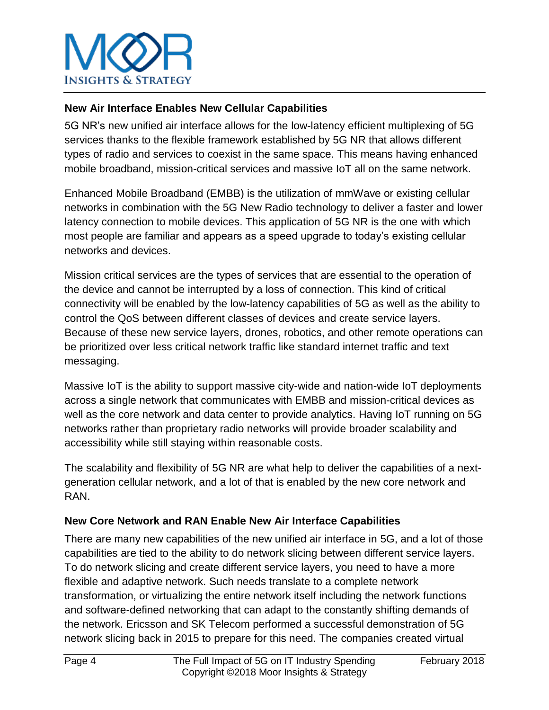

## **New Air Interface Enables New Cellular Capabilities**

5G NR's new unified air interface allows for the low-latency efficient multiplexing of 5G services thanks to the flexible framework established by 5G NR that allows different types of radio and services to coexist in the same space. This means having enhanced mobile broadband, mission-critical services and massive IoT all on the same network.

Enhanced Mobile Broadband (EMBB) is the utilization of mmWave or existing cellular networks in combination with the 5G New Radio technology to deliver a faster and lower latency connection to mobile devices. This application of 5G NR is the one with which most people are familiar and appears as a speed upgrade to today's existing cellular networks and devices.

Mission critical services are the types of services that are essential to the operation of the device and cannot be interrupted by a loss of connection. This kind of critical connectivity will be enabled by the low-latency capabilities of 5G as well as the ability to control the QoS between different classes of devices and create service layers. Because of these new service layers, drones, robotics, and other remote operations can be prioritized over less critical network traffic like standard internet traffic and text messaging.

Massive IoT is the ability to support massive city-wide and nation-wide IoT deployments across a single network that communicates with EMBB and mission-critical devices as well as the core network and data center to provide analytics. Having IoT running on 5G networks rather than proprietary radio networks will provide broader scalability and accessibility while still staying within reasonable costs.

The scalability and flexibility of 5G NR are what help to deliver the capabilities of a nextgeneration cellular network, and a lot of that is enabled by the new core network and RAN.

#### **New Core Network and RAN Enable New Air Interface Capabilities**

There are many new capabilities of the new unified air interface in 5G, and a lot of those capabilities are tied to the ability to do network slicing between different service layers. To do network slicing and create different service layers, you need to have a more flexible and adaptive network. Such needs translate to a complete network transformation, or virtualizing the entire network itself including the network functions and software-defined networking that can adapt to the constantly shifting demands of the network. Ericsson and SK Telecom performed a successful demonstration of 5G network slicing back in 2015 to prepare for this need. The companies created virtual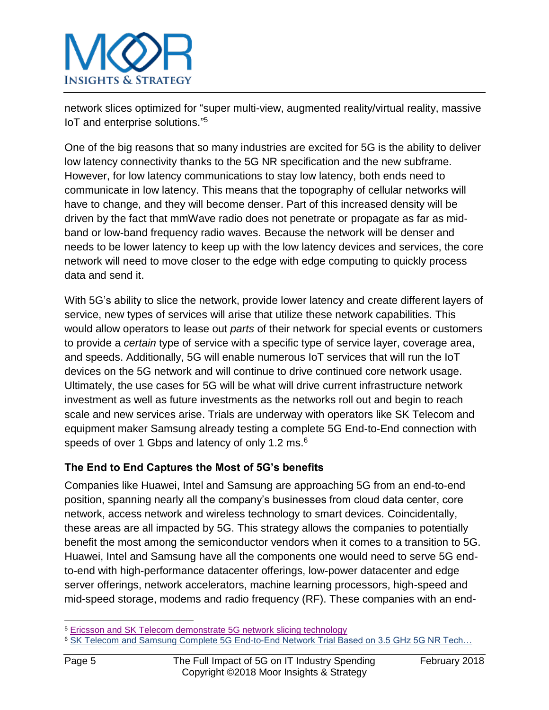

network slices optimized for "super multi-view, augmented reality/virtual reality, massive IoT and enterprise solutions." 5

One of the big reasons that so many industries are excited for 5G is the ability to deliver low latency connectivity thanks to the 5G NR specification and the new subframe. However, for low latency communications to stay low latency, both ends need to communicate in low latency. This means that the topography of cellular networks will have to change, and they will become denser. Part of this increased density will be driven by the fact that mmWave radio does not penetrate or propagate as far as midband or low-band frequency radio waves. Because the network will be denser and needs to be lower latency to keep up with the low latency devices and services, the core network will need to move closer to the edge with edge computing to quickly process data and send it.

With 5G's ability to slice the network, provide lower latency and create different layers of service, new types of services will arise that utilize these network capabilities. This would allow operators to lease out *parts* of their network for special events or customers to provide a *certain* type of service with a specific type of service layer, coverage area, and speeds. Additionally, 5G will enable numerous IoT services that will run the IoT devices on the 5G network and will continue to drive continued core network usage. Ultimately, the use cases for 5G will be what will drive current infrastructure network investment as well as future investments as the networks roll out and begin to reach scale and new services arise. Trials are underway with operators like SK Telecom and equipment maker Samsung already testing a complete 5G End-to-End connection with speeds of over 1 Gbps and latency of only 1.2 ms.<sup>6</sup>

## **The End to End Captures the Most of 5G's benefits**

Companies like Huawei, Intel and Samsung are approaching 5G from an end-to-end position, spanning nearly all the company's businesses from cloud data center, core network, access network and wireless technology to smart devices. Coincidentally, these areas are all impacted by 5G. This strategy allows the companies to potentially benefit the most among the semiconductor vendors when it comes to a transition to 5G. Huawei, Intel and Samsung have all the components one would need to serve 5G endto-end with high-performance datacenter offerings, low-power datacenter and edge server offerings, network accelerators, machine learning processors, high-speed and mid-speed storage, modems and radio frequency (RF). These companies with an end-

<sup>5</sup> [Ericsson and SK Telecom demonstrate 5G network slicing technology](https://www.ericsson.com/en/news/2015/10/ericsson-and-sk-telecom-demonstrate-5g-network-slicing-technology)

<sup>6</sup> [SK Telecom and Samsung Complete 5G End-to-End Network Trial Based on 3.5 GHz 5G NR Tech…](https://news.samsung.com/global/sk-telecom-and-samsung-complete-5g-end-to-end-network-trial-based-on-3-5ghz-5g-new-radio-nr-technologies)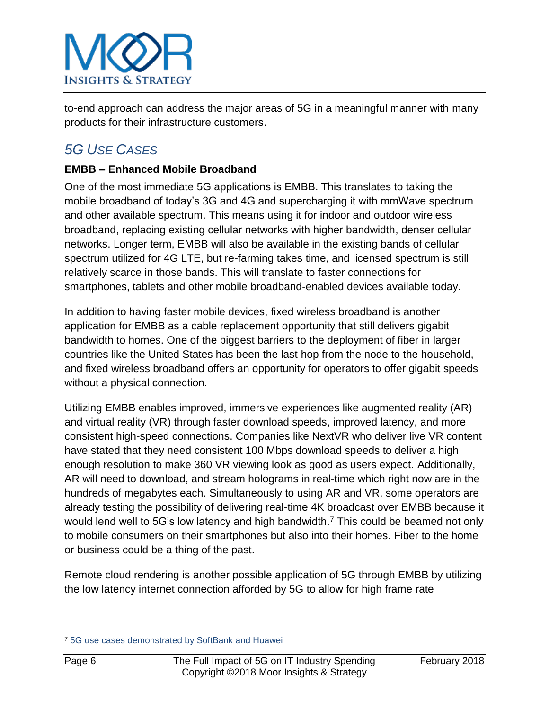

to-end approach can address the major areas of 5G in a meaningful manner with many products for their infrastructure customers.

## *5G USE CASES*

## **EMBB – Enhanced Mobile Broadband**

One of the most immediate 5G applications is EMBB. This translates to taking the mobile broadband of today's 3G and 4G and supercharging it with mmWave spectrum and other available spectrum. This means using it for indoor and outdoor wireless broadband, replacing existing cellular networks with higher bandwidth, denser cellular networks. Longer term, EMBB will also be available in the existing bands of cellular spectrum utilized for 4G LTE, but re-farming takes time, and licensed spectrum is still relatively scarce in those bands. This will translate to faster connections for smartphones, tablets and other mobile broadband-enabled devices available today.

In addition to having faster mobile devices, fixed wireless broadband is another application for EMBB as a cable replacement opportunity that still delivers gigabit bandwidth to homes. One of the biggest barriers to the deployment of fiber in larger countries like the United States has been the last hop from the node to the household, and fixed wireless broadband offers an opportunity for operators to offer gigabit speeds without a physical connection.

Utilizing EMBB enables improved, immersive experiences like augmented reality (AR) and virtual reality (VR) through faster download speeds, improved latency, and more consistent high-speed connections. Companies like NextVR who deliver live VR content have stated that they need consistent 100 Mbps download speeds to deliver a high enough resolution to make 360 VR viewing look as good as users expect. Additionally, AR will need to download, and stream holograms in real-time which right now are in the hundreds of megabytes each. Simultaneously to using AR and VR, some operators are already testing the possibility of delivering real-time 4K broadcast over EMBB because it would lend well to 5G's low latency and high bandwidth.<sup>7</sup> This could be beamed not only to mobile consumers on their smartphones but also into their homes. Fiber to the home or business could be a thing of the past.

Remote cloud rendering is another possible application of 5G through EMBB by utilizing the low latency internet connection afforded by 5G to allow for high frame rate

l <sup>7</sup> [5G use cases demonstrated by SoftBank and Huawei](https://www.itwire.com/telecoms-and-nbn/79837-5g-use-cases-demonstrated-by-softbank-and-huawei.html)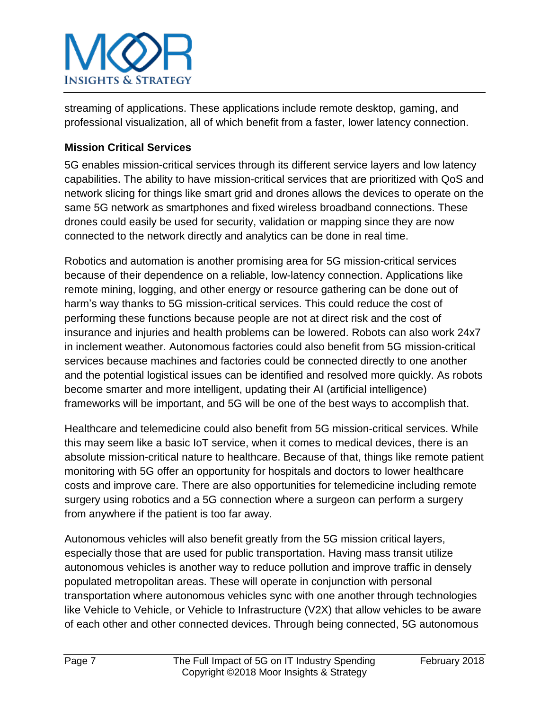

streaming of applications. These applications include remote desktop, gaming, and professional visualization, all of which benefit from a faster, lower latency connection.

## **Mission Critical Services**

5G enables mission-critical services through its different service layers and low latency capabilities. The ability to have mission-critical services that are prioritized with QoS and network slicing for things like smart grid and drones allows the devices to operate on the same 5G network as smartphones and fixed wireless broadband connections. These drones could easily be used for security, validation or mapping since they are now connected to the network directly and analytics can be done in real time.

Robotics and automation is another promising area for 5G mission-critical services because of their dependence on a reliable, low-latency connection. Applications like remote mining, logging, and other energy or resource gathering can be done out of harm's way thanks to 5G mission-critical services. This could reduce the cost of performing these functions because people are not at direct risk and the cost of insurance and injuries and health problems can be lowered. Robots can also work 24x7 in inclement weather. Autonomous factories could also benefit from 5G mission-critical services because machines and factories could be connected directly to one another and the potential logistical issues can be identified and resolved more quickly. As robots become smarter and more intelligent, updating their AI (artificial intelligence) frameworks will be important, and 5G will be one of the best ways to accomplish that.

Healthcare and telemedicine could also benefit from 5G mission-critical services. While this may seem like a basic IoT service, when it comes to medical devices, there is an absolute mission-critical nature to healthcare. Because of that, things like remote patient monitoring with 5G offer an opportunity for hospitals and doctors to lower healthcare costs and improve care. There are also opportunities for telemedicine including remote surgery using robotics and a 5G connection where a surgeon can perform a surgery from anywhere if the patient is too far away.

Autonomous vehicles will also benefit greatly from the 5G mission critical layers, especially those that are used for public transportation. Having mass transit utilize autonomous vehicles is another way to reduce pollution and improve traffic in densely populated metropolitan areas. These will operate in conjunction with personal transportation where autonomous vehicles sync with one another through technologies like Vehicle to Vehicle, or Vehicle to Infrastructure (V2X) that allow vehicles to be aware of each other and other connected devices. Through being connected, 5G autonomous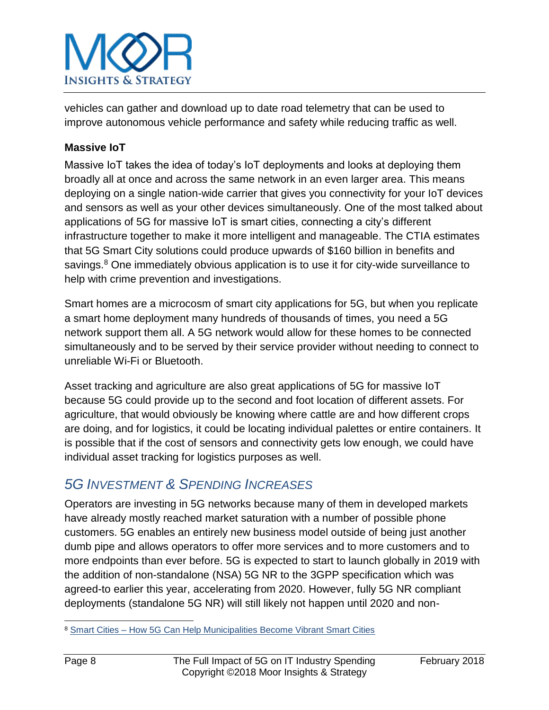

vehicles can gather and download up to date road telemetry that can be used to improve autonomous vehicle performance and safety while reducing traffic as well.

### **Massive IoT**

Massive IoT takes the idea of today's IoT deployments and looks at deploying them broadly all at once and across the same network in an even larger area. This means deploying on a single nation-wide carrier that gives you connectivity for your IoT devices and sensors as well as your other devices simultaneously. One of the most talked about applications of 5G for massive IoT is smart cities, connecting a city's different infrastructure together to make it more intelligent and manageable. The CTIA estimates that 5G Smart City solutions could produce upwards of \$160 billion in benefits and savings.<sup>8</sup> One immediately obvious application is to use it for city-wide surveillance to help with crime prevention and investigations.

Smart homes are a microcosm of smart city applications for 5G, but when you replicate a smart home deployment many hundreds of thousands of times, you need a 5G network support them all. A 5G network would allow for these homes to be connected simultaneously and to be served by their service provider without needing to connect to unreliable Wi-Fi or Bluetooth.

Asset tracking and agriculture are also great applications of 5G for massive IoT because 5G could provide up to the second and foot location of different assets. For agriculture, that would obviously be knowing where cattle are and how different crops are doing, and for logistics, it could be locating individual palettes or entire containers. It is possible that if the cost of sensors and connectivity gets low enough, we could have individual asset tracking for logistics purposes as well.

## *5G INVESTMENT & SPENDING INCREASES*

Operators are investing in 5G networks because many of them in developed markets have already mostly reached market saturation with a number of possible phone customers. 5G enables an entirely new business model outside of being just another dumb pipe and allows operators to offer more services and to more customers and to more endpoints than ever before. 5G is expected to start to launch globally in 2019 with the addition of non-standalone (NSA) 5G NR to the 3GPP specification which was agreed-to earlier this year, accelerating from 2020. However, fully 5G NR compliant deployments (standalone 5G NR) will still likely not happen until 2020 and non-

<sup>8</sup> Smart Cities – [How 5G Can Help Municipalities Become Vibrant Smart Cities](https://www.ctia.org/docs/default-source/default-document-library/how-5g-can-help-municipalities-become-vibrant-smart-cities-accenture.pdf)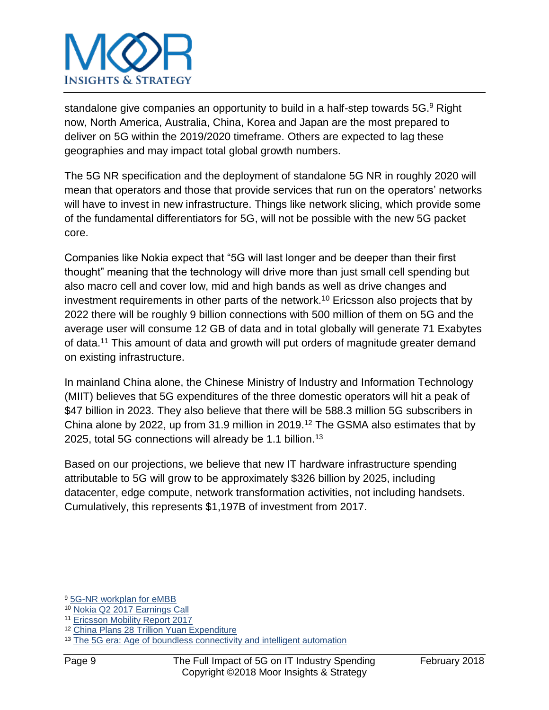

standalone give companies an opportunity to build in a half-step towards 5G.<sup>9</sup> Right now, North America, Australia, China, Korea and Japan are the most prepared to deliver on 5G within the 2019/2020 timeframe. Others are expected to lag these geographies and may impact total global growth numbers.

The 5G NR specification and the deployment of standalone 5G NR in roughly 2020 will mean that operators and those that provide services that run on the operators' networks will have to invest in new infrastructure. Things like network slicing, which provide some of the fundamental differentiators for 5G, will not be possible with the new 5G packet core.

Companies like Nokia expect that "5G will last longer and be deeper than their first thought" meaning that the technology will drive more than just small cell spending but also macro cell and cover low, mid and high bands as well as drive changes and investment requirements in other parts of the network.<sup>10</sup> Ericsson also projects that by 2022 there will be roughly 9 billion connections with 500 million of them on 5G and the average user will consume 12 GB of data and in total globally will generate 71 Exabytes of data.<sup>11</sup> This amount of data and growth will put orders of magnitude greater demand on existing infrastructure.

In mainland China alone, the Chinese Ministry of Industry and Information Technology (MIIT) believes that 5G expenditures of the three domestic operators will hit a peak of \$47 billion in 2023. They also believe that there will be 588.3 million 5G subscribers in China alone by 2022, up from 31.9 million in 2019.<sup>12</sup> The GSMA also estimates that by 2025, total 5G connections will already be 1.1 billion.<sup>13</sup>

Based on our projections, we believe that new IT hardware infrastructure spending attributable to 5G will grow to be approximately \$326 billion by 2025, including datacenter, edge compute, network transformation activities, not including handsets. Cumulatively, this represents \$1,197B of investment from 2017.

<sup>9</sup> [5G-NR workplan for eMBB](http://www.3gpp.org/news-events/3gpp-news/1836-5g_nr_workplan)

<sup>10</sup> [Nokia Q2 2017 Earnings Call](https://seekingalpha.com/article/4091480-nokia-oyj-nok-q2-2017-results-earnings-call-transcript?part=single)

<sup>11</sup> [Ericsson Mobility Report 2017](https://www.ericsson.com/assets/local/mobility-report/documents/2017/ericsson-mobility-report-june-2017.pdf)

<sup>12</sup> [China Plans 28 Trillion Yuan Expenditure](http://www.scmp.com/tech/china-tech/article/2098948/china-plans-28-trillion-yuan-capital-expenditure-create-worlds)

<sup>&</sup>lt;sup>13</sup> The 5G era: [Age of boundless connectivity and intelligent automation](https://www.gsmaintelligence.com/research/?file=0efdd9e7b6eb1c4ad9aa5d4c0c971e62&download)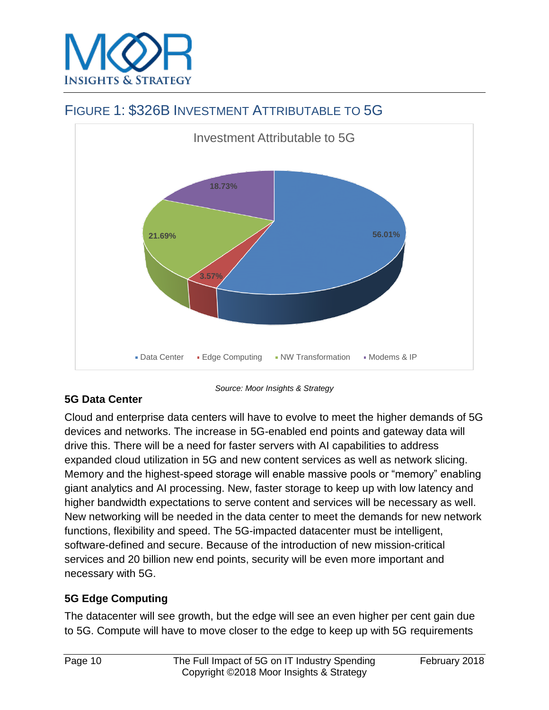

## FIGURE 1: \$326B INVESTMENT ATTRIBUTABLE TO 5G



## **5G Data Center**

Cloud and enterprise data centers will have to evolve to meet the higher demands of 5G devices and networks. The increase in 5G-enabled end points and gateway data will drive this. There will be a need for faster servers with AI capabilities to address expanded cloud utilization in 5G and new content services as well as network slicing. Memory and the highest-speed storage will enable massive pools or "memory" enabling giant analytics and AI processing. New, faster storage to keep up with low latency and higher bandwidth expectations to serve content and services will be necessary as well. New networking will be needed in the data center to meet the demands for new network functions, flexibility and speed. The 5G-impacted datacenter must be intelligent, software-defined and secure. Because of the introduction of new mission-critical services and 20 billion new end points, security will be even more important and necessary with 5G.

*Source: Moor Insights & Strategy*

## **5G Edge Computing**

The datacenter will see growth, but the edge will see an even higher per cent gain due to 5G. Compute will have to move closer to the edge to keep up with 5G requirements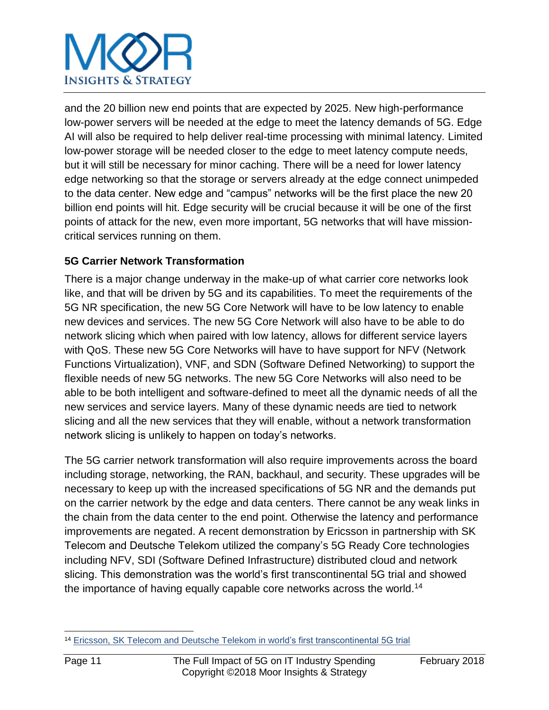## **INSIGHTS & STRATEGY**

and the 20 billion new end points that are expected by 2025. New high-performance low-power servers will be needed at the edge to meet the latency demands of 5G. Edge AI will also be required to help deliver real-time processing with minimal latency. Limited low-power storage will be needed closer to the edge to meet latency compute needs, but it will still be necessary for minor caching. There will be a need for lower latency edge networking so that the storage or servers already at the edge connect unimpeded to the data center. New edge and "campus" networks will be the first place the new 20 billion end points will hit. Edge security will be crucial because it will be one of the first points of attack for the new, even more important, 5G networks that will have missioncritical services running on them.

## **5G Carrier Network Transformation**

There is a major change underway in the make-up of what carrier core networks look like, and that will be driven by 5G and its capabilities. To meet the requirements of the 5G NR specification, the new 5G Core Network will have to be low latency to enable new devices and services. The new 5G Core Network will also have to be able to do network slicing which when paired with low latency, allows for different service layers with QoS. These new 5G Core Networks will have to have support for NFV (Network Functions Virtualization), VNF, and SDN (Software Defined Networking) to support the flexible needs of new 5G networks. The new 5G Core Networks will also need to be able to be both intelligent and software-defined to meet all the dynamic needs of all the new services and service layers. Many of these dynamic needs are tied to network slicing and all the new services that they will enable, without a network transformation network slicing is unlikely to happen on today's networks.

The 5G carrier network transformation will also require improvements across the board including storage, networking, the RAN, backhaul, and security. These upgrades will be necessary to keep up with the increased specifications of 5G NR and the demands put on the carrier network by the edge and data centers. There cannot be any weak links in the chain from the data center to the end point. Otherwise the latency and performance improvements are negated. A recent demonstration by Ericsson in partnership with SK Telecom and Deutsche Telekom utilized the company's 5G Ready Core technologies including NFV, SDI (Software Defined Infrastructure) distributed cloud and network slicing. This demonstration was the world's first transcontinental 5G trial and showed the importance of having equally capable core networks across the world.<sup>14</sup>

l <sup>14</sup> [Ericsson, SK Telecom and Deutsche Telekom in world's first transcontinental 5G trial](https://www.ericsson.com/en/press-releases/2016/6/ericsson-sk-telecom-and-deutsche-telekom-in-worlds-first-transcontinental-5g-trial)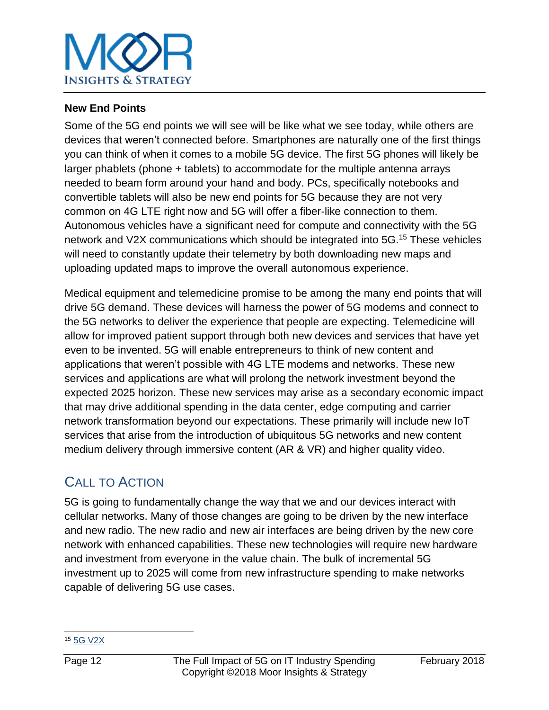

#### **New End Points**

Some of the 5G end points we will see will be like what we see today, while others are devices that weren't connected before. Smartphones are naturally one of the first things you can think of when it comes to a mobile 5G device. The first 5G phones will likely be larger phablets (phone + tablets) to accommodate for the multiple antenna arrays needed to beam form around your hand and body. PCs, specifically notebooks and convertible tablets will also be new end points for 5G because they are not very common on 4G LTE right now and 5G will offer a fiber-like connection to them. Autonomous vehicles have a significant need for compute and connectivity with the 5G network and V2X communications which should be integrated into 5G. <sup>15</sup> These vehicles will need to constantly update their telemetry by both downloading new maps and uploading updated maps to improve the overall autonomous experience.

Medical equipment and telemedicine promise to be among the many end points that will drive 5G demand. These devices will harness the power of 5G modems and connect to the 5G networks to deliver the experience that people are expecting. Telemedicine will allow for improved patient support through both new devices and services that have yet even to be invented. 5G will enable entrepreneurs to think of new content and applications that weren't possible with 4G LTE modems and networks. These new services and applications are what will prolong the network investment beyond the expected 2025 horizon. These new services may arise as a secondary economic impact that may drive additional spending in the data center, edge computing and carrier network transformation beyond our expectations. These primarily will include new IoT services that arise from the introduction of ubiquitous 5G networks and new content medium delivery through immersive content (AR & VR) and higher quality video.

## CALL TO ACTION

5G is going to fundamentally change the way that we and our devices interact with cellular networks. Many of those changes are going to be driven by the new interface and new radio. The new radio and new air interfaces are being driven by the new core network with enhanced capabilities. These new technologies will require new hardware and investment from everyone in the value chain. The bulk of incremental 5G investment up to 2025 will come from new infrastructure spending to make networks capable of delivering 5G use cases.

l <sup>15</sup> [5G V2X](http://www.3gpp.org/ftp/Information/presentations/Presentations_2017/A4Conf010_Dino%20Flore_5GAA_v1.pdf)